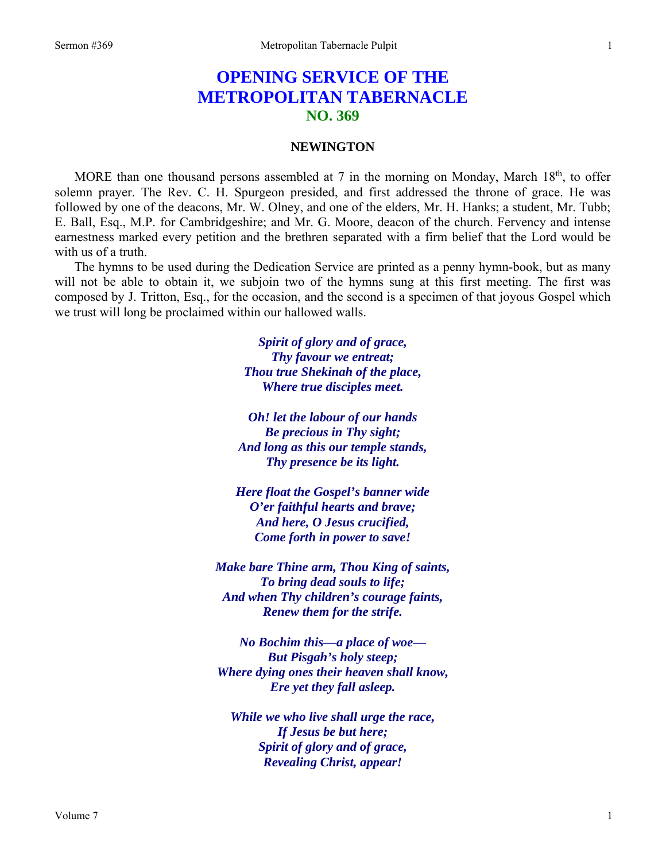## **OPENING SERVICE OF THE METROPOLITAN TABERNACLE NO. 369**

## **NEWINGTON**

MORE than one thousand persons assembled at 7 in the morning on Monday, March 18<sup>th</sup>, to offer solemn prayer. The Rev. C. H. Spurgeon presided, and first addressed the throne of grace. He was followed by one of the deacons, Mr. W. Olney, and one of the elders, Mr. H. Hanks; a student, Mr. Tubb; E. Ball, Esq., M.P. for Cambridgeshire; and Mr. G. Moore, deacon of the church. Fervency and intense earnestness marked every petition and the brethren separated with a firm belief that the Lord would be with us of a truth.

The hymns to be used during the Dedication Service are printed as a penny hymn-book, but as many will not be able to obtain it, we subjoin two of the hymns sung at this first meeting. The first was composed by J. Tritton, Esq., for the occasion, and the second is a specimen of that joyous Gospel which we trust will long be proclaimed within our hallowed walls.

> *Spirit of glory and of grace, Thy favour we entreat; Thou true Shekinah of the place, Where true disciples meet.*

*Oh! let the labour of our hands Be precious in Thy sight; And long as this our temple stands, Thy presence be its light.* 

*Here float the Gospel's banner wide O'er faithful hearts and brave; And here, O Jesus crucified, Come forth in power to save!* 

*Make bare Thine arm, Thou King of saints, To bring dead souls to life; And when Thy children's courage faints, Renew them for the strife.* 

*No Bochim this—a place of woe— But Pisgah's holy steep; Where dying ones their heaven shall know, Ere yet they fall asleep.* 

*While we who live shall urge the race, If Jesus be but here; Spirit of glory and of grace, Revealing Christ, appear!*